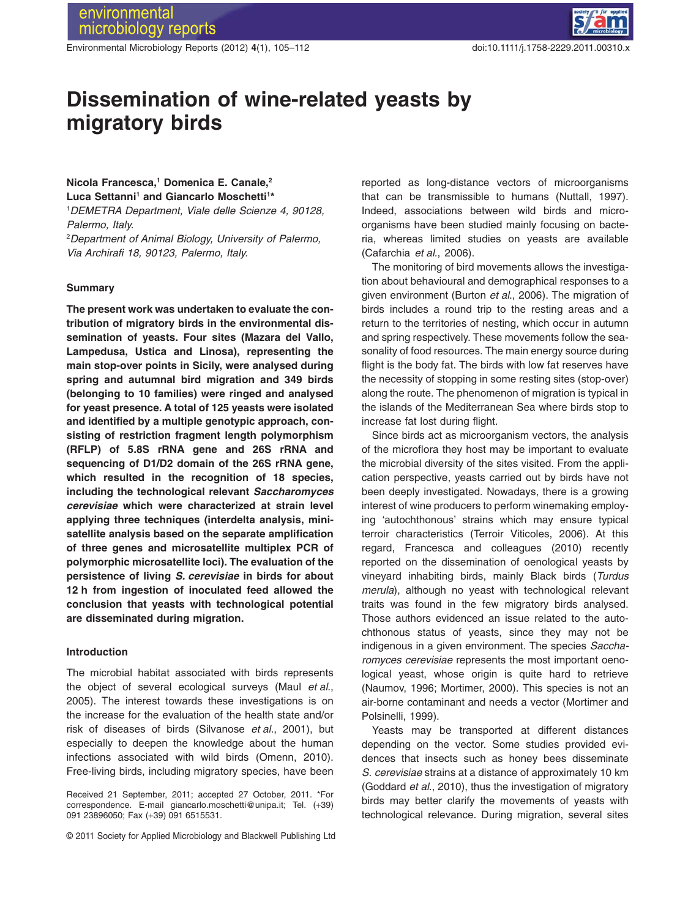Environmental Microbiology Reports (2012) **4**(1), 105–112 doi:10.1111/j.1758-2229.2011.00310.x



# **Dissemination of wine-related yeasts by** migratory birds

# **Nicola Francesca,1 Domenica E. Canale,2 Luca Settanni1 and Giancarlo Moschetti1 \***

1 *DEMETRA Department, Viale delle Scienze 4, 90128, Palermo, Italy.*

2 *Department of Animal Biology, University of Palermo, Via Archirafi 18, 90123, Palermo, Italy.*

### **Summary**

**The present work was undertaken to evaluate the contribution of migratory birds in the environmental dissemination of yeasts. Four sites (Mazara del Vallo, Lampedusa, Ustica and Linosa), representing the main stop-over points in Sicily, were analysed during spring and autumnal bird migration and 349 birds (belonging to 10 families) were ringed and analysed for yeast presence. A total of 125 yeasts were isolated and identified by a multiple genotypic approach, consisting of restriction fragment length polymorphism (RFLP) of 5.8S rRNA gene and 26S rRNA and sequencing of D1/D2 domain of the 26S rRNA gene, which resulted in the recognition of 18 species, including the technological relevant** *Saccharomyces cerevisiae* **which were characterized at strain level applying three techniques (interdelta analysis, minisatellite analysis based on the separate amplification of three genes and microsatellite multiplex PCR of polymorphic microsatellite loci). The evaluation of the persistence of living** *S. cerevisiae* **in birds for about 12 h from ingestion of inoculated feed allowed the conclusion that yeasts with technological potential are disseminated during migration.**

# **Introduction**

The microbial habitat associated with birds represents the object of several ecological surveys (Maul *et al*., 2005). The interest towards these investigations is on the increase for the evaluation of the health state and/or risk of diseases of birds (Silvanose *et al*., 2001), but especially to deepen the knowledge about the human infections associated with wild birds (Omenn, 2010). Free-living birds, including migratory species, have been

Received 21 September, 2011; accepted 27 October, 2011. \*For correspondence. E-mail giancarlo.moschetti@unipa.it; Tel. (+39) 091 23896050; Fax (+39) 091 6515531.

© 2011 Society for Applied Microbiology and Blackwell Publishing Ltd

reported as long-distance vectors of microorganisms that can be transmissible to humans (Nuttall, 1997). Indeed, associations between wild birds and microorganisms have been studied mainly focusing on bacteria, whereas limited studies on yeasts are available (Cafarchia *et al*., 2006).

The monitoring of bird movements allows the investigation about behavioural and demographical responses to a given environment (Burton *et al*., 2006). The migration of birds includes a round trip to the resting areas and a return to the territories of nesting, which occur in autumn and spring respectively. These movements follow the seasonality of food resources. The main energy source during flight is the body fat. The birds with low fat reserves have the necessity of stopping in some resting sites (stop-over) along the route. The phenomenon of migration is typical in the islands of the Mediterranean Sea where birds stop to increase fat lost during flight.

Since birds act as microorganism vectors, the analysis of the microflora they host may be important to evaluate the microbial diversity of the sites visited. From the application perspective, yeasts carried out by birds have not been deeply investigated. Nowadays, there is a growing interest of wine producers to perform winemaking employing 'autochthonous' strains which may ensure typical terroir characteristics (Terroir Viticoles, 2006). At this regard, Francesca and colleagues (2010) recently reported on the dissemination of oenological yeasts by vineyard inhabiting birds, mainly Black birds (*Turdus merula*), although no yeast with technological relevant traits was found in the few migratory birds analysed. Those authors evidenced an issue related to the autochthonous status of yeasts, since they may not be indigenous in a given environment. The species *Saccharomyces cerevisiae* represents the most important oenological yeast, whose origin is quite hard to retrieve (Naumov, 1996; Mortimer, 2000). This species is not an air-borne contaminant and needs a vector (Mortimer and Polsinelli, 1999).

Yeasts may be transported at different distances depending on the vector. Some studies provided evidences that insects such as honey bees disseminate *S. cerevisiae* strains at a distance of approximately 10 km (Goddard *et al*., 2010), thus the investigation of migratory birds may better clarify the movements of yeasts with technological relevance. During migration, several sites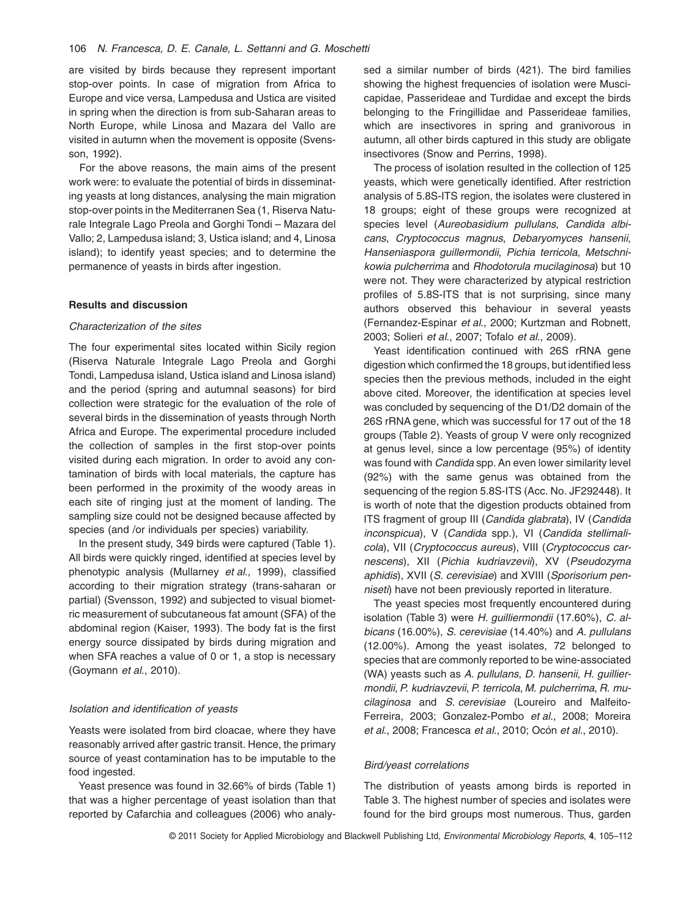are visited by birds because they represent important stop-over points. In case of migration from Africa to Europe and vice versa, Lampedusa and Ustica are visited in spring when the direction is from sub-Saharan areas to North Europe, while Linosa and Mazara del Vallo are visited in autumn when the movement is opposite (Svensson, 1992).

For the above reasons, the main aims of the present work were: to evaluate the potential of birds in disseminating yeasts at long distances, analysing the main migration stop-over points in the Mediterranen Sea (1, Riserva Naturale Integrale Lago Preola and Gorghi Tondi – Mazara del Vallo; 2, Lampedusa island; 3, Ustica island; and 4, Linosa island); to identify yeast species; and to determine the permanence of yeasts in birds after ingestion.

#### **Results and discussion**

# *Characterization of the sites*

The four experimental sites located within Sicily region (Riserva Naturale Integrale Lago Preola and Gorghi Tondi, Lampedusa island, Ustica island and Linosa island) and the period (spring and autumnal seasons) for bird collection were strategic for the evaluation of the role of several birds in the dissemination of yeasts through North Africa and Europe. The experimental procedure included the collection of samples in the first stop-over points visited during each migration. In order to avoid any contamination of birds with local materials, the capture has been performed in the proximity of the woody areas in each site of ringing just at the moment of landing. The sampling size could not be designed because affected by species (and /or individuals per species) variability.

In the present study, 349 birds were captured (Table 1). All birds were quickly ringed, identified at species level by phenotypic analysis (Mullarney *et al*., 1999), classified according to their migration strategy (trans-saharan or partial) (Svensson, 1992) and subjected to visual biometric measurement of subcutaneous fat amount (SFA) of the abdominal region (Kaiser, 1993). The body fat is the first energy source dissipated by birds during migration and when SFA reaches a value of 0 or 1, a stop is necessary (Goymann *et al*., 2010).

### *Isolation and identification of yeasts*

Yeasts were isolated from bird cloacae, where they have reasonably arrived after gastric transit. Hence, the primary source of yeast contamination has to be imputable to the food ingested.

Yeast presence was found in 32.66% of birds (Table 1) that was a higher percentage of yeast isolation than that reported by Cafarchia and colleagues (2006) who analysed a similar number of birds (421). The bird families showing the highest frequencies of isolation were Muscicapidae, Passerideae and Turdidae and except the birds belonging to the Fringillidae and Passerideae families, which are insectivores in spring and granivorous in autumn, all other birds captured in this study are obligate insectivores (Snow and Perrins, 1998).

The process of isolation resulted in the collection of 125 yeasts, which were genetically identified. After restriction analysis of 5.8S-ITS region, the isolates were clustered in 18 groups; eight of these groups were recognized at species level (*Aureobasidium pullulans*, *Candida albicans*, *Cryptococcus magnus*, *Debaryomyces hansenii*, *Hanseniaspora guillermondii*, *Pichia terricola*, *Metschnikowia pulcherrima* and *Rhodotorula mucilaginosa*) but 10 were not. They were characterized by atypical restriction profiles of 5.8S-ITS that is not surprising, since many authors observed this behaviour in several yeasts (Fernandez-Espinar *et al*., 2000; Kurtzman and Robnett, 2003; Solieri *et al*., 2007; Tofalo *et al*., 2009).

Yeast identification continued with 26S rRNA gene digestion which confirmed the 18 groups, but identified less species then the previous methods, included in the eight above cited. Moreover, the identification at species level was concluded by sequencing of the D1/D2 domain of the 26S rRNA gene, which was successful for 17 out of the 18 groups (Table 2). Yeasts of group V were only recognized at genus level, since a low percentage (95%) of identity was found with *Candida* spp. An even lower similarity level (92%) with the same genus was obtained from the sequencing of the region 5.8S-ITS (Acc. No. JF292448). It is worth of note that the digestion products obtained from ITS fragment of group III (*Candida glabrata*), IV (*Candida inconspicua*), V (*Candida* spp.), VI (*Candida stellimalicola*), VII (*Cryptococcus aureus*), VIII (*Cryptococcus carnescens*), XII (*Pichia kudriavzevii*), XV (*Pseudozyma aphidis*), XVII (*S. cerevisiae*) and XVIII (*Sporisorium penniseti*) have not been previously reported in literature.

The yeast species most frequently encountered during isolation (Table 3) were *H. guilliermondii* (17.60%), *C. albicans* (16.00%), *S. cerevisiae* (14.40%) and *A. pullulans* (12.00%). Among the yeast isolates, 72 belonged to species that are commonly reported to be wine-associated (WA) yeasts such as *A. pullulans*, *D. hansenii*, *H. guilliermondii*, *P. kudriavzevii*, *P. terricola*, *M. pulcherrima*, *R. mucilaginosa* and *S. cerevisiae* (Loureiro and Malfeito-Ferreira, 2003; Gonzalez-Pombo *et al*., 2008; Moreira *et al*., 2008; Francesca *et al*., 2010; Ocón *et al*., 2010).

# *Bird/yeast correlations*

The distribution of yeasts among birds is reported in Table 3. The highest number of species and isolates were found for the bird groups most numerous. Thus, garden

© 2011 Society for Applied Microbiology and Blackwell Publishing Ltd, *Environmental Microbiology Reports*, **4**, 105–112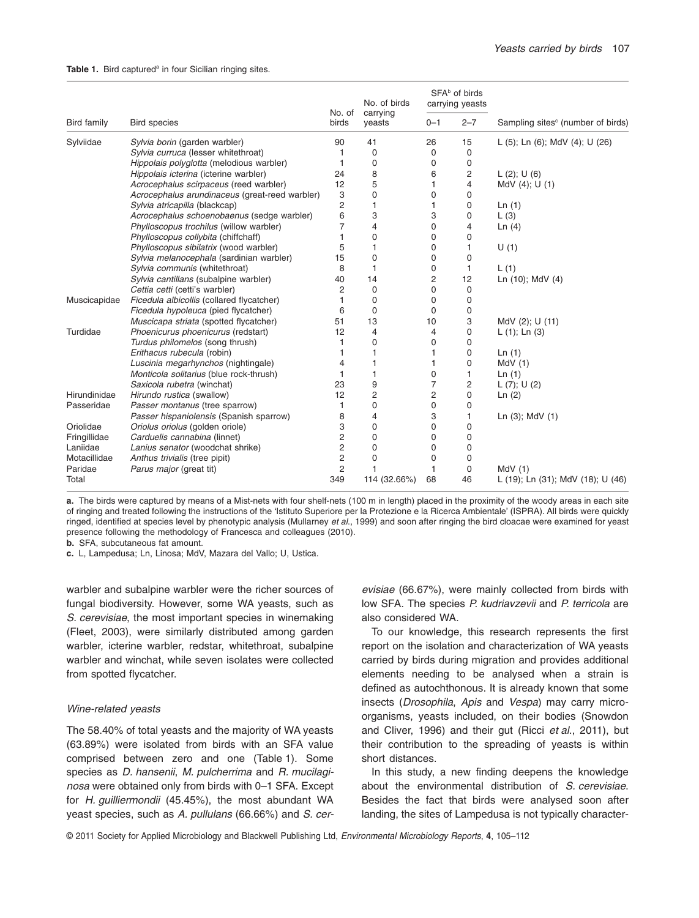|              |                                                |                         | No. of birds       |                | SFA <sup>b</sup> of birds<br>carrying yeasts |                                               |
|--------------|------------------------------------------------|-------------------------|--------------------|----------------|----------------------------------------------|-----------------------------------------------|
| Bird family  | <b>Bird species</b>                            | No. of<br>birds         | carrying<br>yeasts | $0 - 1$        | $2 - 7$                                      | Sampling sites <sup>c</sup> (number of birds) |
| Sylviidae    | Sylvia borin (garden warbler)                  | 90                      | 41                 | 26             | 15                                           | L (5); Ln (6); MdV (4); U (26)                |
|              | Sylvia curruca (lesser whitethroat)            | 1                       | $\mathbf 0$        | 0              | 0                                            |                                               |
|              | Hippolais polyglotta (melodious warbler)       | $\mathbf{1}$            | $\mathbf 0$        | 0              | $\mathbf 0$                                  |                                               |
|              | Hippolais icterina (icterine warbler)          | 24                      | 8                  | 6              | $\overline{c}$                               | L(2); U(6)                                    |
|              | Acrocephalus scirpaceus (reed warbler)         | 12                      | 5                  | 1              | 4                                            | MdV (4); U (1)                                |
|              | Acrocephalus arundinaceus (great-reed warbler) | 3                       | $\mathbf 0$        | $\mathbf 0$    | $\mathbf 0$                                  |                                               |
|              | Sylvia atricapilla (blackcap)                  | $\overline{\mathbf{c}}$ | 1                  |                | 0                                            | Ln(1)                                         |
|              | Acrocephalus schoenobaenus (sedge warbler)     | 6                       | 3                  | 3              | 0                                            | $\lfloor$ (3)                                 |
|              | Phylloscopus trochilus (willow warbler)        | $\overline{7}$          | 4                  | 0              | 4                                            | Ln(4)                                         |
|              | Phylloscopus collybita (chiffchaff)            | $\mathbf{1}$            | 0                  | 0              | $\mathbf 0$                                  |                                               |
|              | Phylloscopus sibilatrix (wood warbler)         | 5                       | 1                  | 0              | 1                                            | U(1)                                          |
|              | Sylvia melanocephala (sardinian warbler)       | 15                      | $\mathbf 0$        | 0              | $\mathbf 0$                                  |                                               |
|              | Sylvia communis (whitethroat)                  | 8                       | 1                  | 0              | $\mathbf{1}$                                 | L(1)                                          |
|              | Sylvia cantillans (subalpine warbler)          | 40                      | 14                 | 2              | 12                                           | Ln (10); MdV (4)                              |
|              | Cettia cetti (cetti's warbler)                 | 2                       | $\mathbf 0$        | 0              | 0                                            |                                               |
| Muscicapidae | Ficedula albicollis (collared flycatcher)      | $\mathbf{1}$            | 0                  | 0              | $\mathbf 0$                                  |                                               |
|              | Ficedula hypoleuca (pied flycatcher)           | 6                       | $\mathbf 0$        | 0              | 0                                            |                                               |
|              | Muscicapa striata (spotted flycatcher)         | 51                      | 13                 | 10             | 3                                            | MdV (2); U (11)                               |
| Turdidae     | Phoenicurus phoenicurus (redstart)             | 12                      | 4                  | 4              | $\mathbf 0$                                  | $L(1)$ ; Ln $(3)$                             |
|              | Turdus philomelos (song thrush)                | 1                       | $\mathbf 0$        | 0              | 0                                            |                                               |
|              | Erithacus rubecula (robin)                     | 1                       | 1                  | 1              | $\Omega$                                     | Ln(1)                                         |
|              | Luscinia megarhynchos (nightingale)            | 4                       | 1                  | 1              | $\mathbf 0$                                  | MdV(1)                                        |
|              | Monticola solitarius (blue rock-thrush)        | $\mathbf 1$             | 1                  | 0              | 1                                            | Ln(1)                                         |
|              | Saxicola rubetra (winchat)                     | 23                      | 9                  | 7              | $\overline{\mathbf{c}}$                      | L $(7)$ ; U $(2)$                             |
| Hirundinidae | Hirundo rustica (swallow)                      | 12                      | 2                  | $\overline{c}$ | $\mathbf 0$                                  | Ln(2)                                         |
| Passeridae   | Passer montanus (tree sparrow)                 | $\mathbf{1}$            | $\mathbf 0$        | $\mathbf 0$    | $\mathbf 0$                                  |                                               |
|              | Passer hispaniolensis (Spanish sparrow)        | 8                       | $\overline{4}$     | 3              | 1                                            | Ln (3); MdV (1)                               |
| Oriolidae    | Oriolus oriolus (golden oriole)                | 3                       | $\mathbf 0$        | 0              | $\mathbf 0$                                  |                                               |
| Fringillidae | Carduelis cannabina (linnet)                   | $\overline{c}$          | $\mathbf 0$        | 0              | $\mathbf 0$                                  |                                               |
| Laniidae     | Lanius senator (woodchat shrike)               | $\overline{c}$          | $\mathbf 0$        | 0              | $\mathbf 0$                                  |                                               |
| Motacillidae | Anthus trivialis (tree pipit)                  | $\overline{c}$          | $\mathbf 0$        | 0              | $\mathbf 0$                                  |                                               |
| Paridae      | Parus major (great tit)                        | $\overline{2}$          |                    | 1              | 0                                            | MdV(1)                                        |
| Total        |                                                | 349                     | 114 (32.66%)       | 68             | 46                                           | L (19); Ln (31); MdV (18); U (46)             |

**a.** The birds were captured by means of a Mist-nets with four shelf-nets (100 m in length) placed in the proximity of the woody areas in each site of ringing and treated following the instructions of the 'Istituto Superiore per la Protezione e la Ricerca Ambientale' (ISPRA). All birds were quickly ringed, identified at species level by phenotypic analysis (Mullarney *et al*., 1999) and soon after ringing the bird cloacae were examined for yeast presence following the methodology of Francesca and colleagues (2010).

**b.** SFA, subcutaneous fat amount.

**c.** L, Lampedusa; Ln, Linosa; MdV, Mazara del Vallo; U, Ustica.

warbler and subalpine warbler were the richer sources of fungal biodiversity. However, some WA yeasts, such as *S. cerevisiae*, the most important species in winemaking (Fleet, 2003), were similarly distributed among garden warbler, icterine warbler, redstar, whitethroat, subalpine warbler and winchat, while seven isolates were collected from spotted flycatcher.

#### *Wine-related yeasts*

The 58.40% of total yeasts and the majority of WA yeasts (63.89%) were isolated from birds with an SFA value comprised between zero and one (Table 1). Some species as *D. hansenii*, *M. pulcherrima* and *R. mucilaginosa* were obtained only from birds with 0–1 SFA. Except for *H. guilliermondii* (45.45%), the most abundant WA yeast species, such as *A. pullulans* (66.66%) and *S. cer-* *evisiae* (66.67%), were mainly collected from birds with low SFA. The species *P. kudriavzevii* and *P. terricola* are also considered WA.

To our knowledge, this research represents the first report on the isolation and characterization of WA yeasts carried by birds during migration and provides additional elements needing to be analysed when a strain is defined as autochthonous. It is already known that some insects (*Drosophila*, *Apis* and *Vespa*) may carry microorganisms, yeasts included, on their bodies (Snowdon and Cliver, 1996) and their gut (Ricci *et al*., 2011), but their contribution to the spreading of yeasts is within short distances.

In this study, a new finding deepens the knowledge about the environmental distribution of *S. cerevisiae*. Besides the fact that birds were analysed soon after landing, the sites of Lampedusa is not typically character-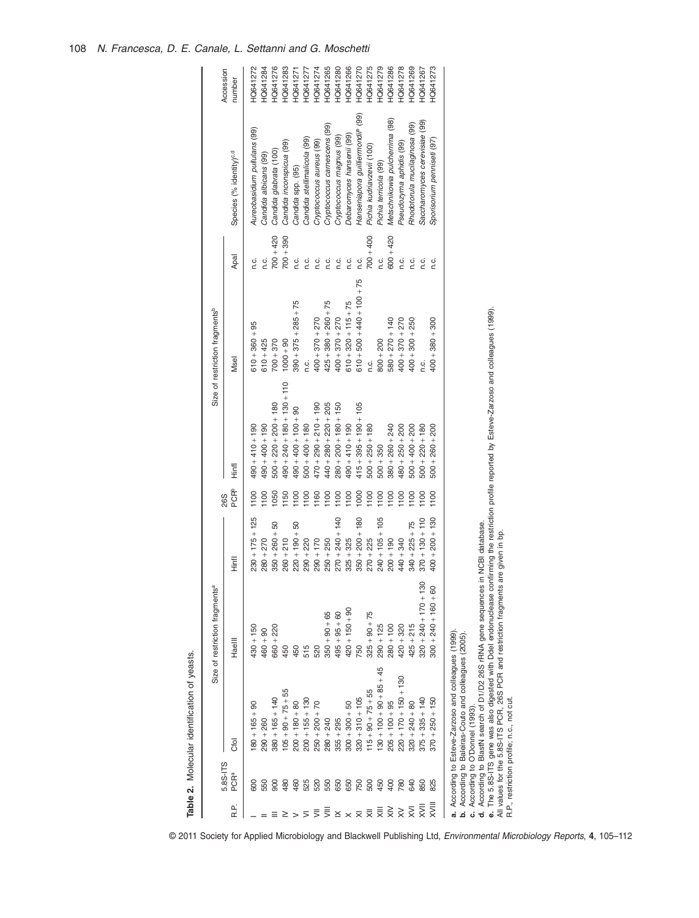|                                      |                  |                                                                                         | Size of restriction fragments <sup>a</sup> |                   |                                |                                                                                                                                                    | Size of restriction fragments <sup>b</sup> |             |                                               |                     |
|--------------------------------------|------------------|-----------------------------------------------------------------------------------------|--------------------------------------------|-------------------|--------------------------------|----------------------------------------------------------------------------------------------------------------------------------------------------|--------------------------------------------|-------------|-----------------------------------------------|---------------------|
| ند<br>Ari                            | 5.8S-ITS<br>PCRª | Cfol                                                                                    | <b>Haelll</b>                              | Hinfl             | <b>PCR</b> <sup>b</sup><br>26S | Finfl                                                                                                                                              | Msel                                       | Apal        | Species (% identity) <sup>c,d</sup>           | Accession<br>number |
|                                      | 600              | $180 + 165 + 90$                                                                        | $430 + 150$                                | $230 + 175 + 125$ | 1100                           | $490 + 410 + 190$                                                                                                                                  | $610 + 360 + 95$                           | c.<br>C     | Aureobasidium pullulans (99)                  | <b>HQ641272</b>     |
|                                      | 550              | $290 + 260$                                                                             | $460 + 90$                                 | $280 + 270$       | $\frac{8}{100}$                | $190 + 400 + 190$                                                                                                                                  | $610 + 425$                                | c.<br>C.    | Candida albicans (99)                         | <b>HQ641284</b>     |
|                                      | 900              | $380 + 165 + 140$                                                                       | $660 + 220$                                | $350 + 260 + 50$  | 1050                           | $500 + 220 + 200 + 180$                                                                                                                            | $700 + 370$                                | $700 + 420$ | Candida glabrata (100)                        | <b>HQ641276</b>     |
|                                      | 480              | $105 + 90 + 75 + 55$                                                                    | 450                                        | $260 + 210$       | 1150                           | $490 + 240 + 180 + 130 + 110$                                                                                                                      | $000 + 90$                                 | $700 + 390$ | Candida inconspicua (99)                      | <b>HQ641283</b>     |
|                                      | 460              | $200 + 180 + 80$                                                                        | 450                                        | $220 + 190 + 50$  | 1100                           | $00 + 400 + 100 + 90$                                                                                                                              | $390 + 375 + 285 + 75$                     | n.c.        | Candida spp. (95)                             | <b>HQ641271</b>     |
|                                      | 525              | $200 + 155 + 130$                                                                       | 515                                        | $290 + 220$       | 1100                           | $500 + 400 + 180$                                                                                                                                  | c.c                                        | c.<br>C.    | Candida stellimalicola (99)                   | <b>HQ641277</b>     |
| 亖                                    | 520              | $250 + 200 + 70$                                                                        | 520                                        | $290 + 170$       | 1160                           | $470 + 290 + 210 + 190$                                                                                                                            | $400 + 370 + 270$                          | n.c.        | Cryptococcus aureus (99)                      | <b>HQ641274</b>     |
| $\bar{z}$                            | 550              | $280 + 240$                                                                             | $350 + 90 + 65$                            | $250 + 250$       | 1100                           | $440 + 280 + 220 + 205$                                                                                                                            | $425 + 380 + 260 + 75$                     | n.c.        | Cryptococcus carnescens (99)                  | HQ641265            |
| $\leq$ $\times$                      | 650              | $355 + 295$                                                                             | $495 + 95 + 60$                            | $270 + 240 + 140$ | 1100                           | $280 + 200 + 180 + 150$                                                                                                                            | $400 + 370 + 270$                          | c.          | Cryptococcus magnus (99)                      | HQ641280            |
|                                      | 650              | $300 + 300 + 50$                                                                        | $420 + 150 + 90$                           | $325 + 325$       | 1100                           | $490 + 410 + 190$                                                                                                                                  | $510 + 320 + 115 + 75$                     | n.c.        | Debaromyces hansenii (99)                     | HQ641266            |
|                                      | 750              | $320 + 310 + 105$                                                                       | 750                                        | $350 + 200 + 180$ | 1000                           | $415 + 395 + 190 + 105$                                                                                                                            | $610 + 500 + 440 + 100 + 75$               | C.C.        | Hanseniapora guilliermondir <sup>e</sup> (99) | HQ641270            |
|                                      | 500              | $115 + 90 + 75 + 55$                                                                    | $325 + 90 + 75$                            | $270 + 225$       | 1100                           | $500 + 250 + 180$                                                                                                                                  | c.c                                        | $700 + 400$ | Pichia kudriavzevii (100)                     | HQ641275            |
|                                      | 450              | $130 + 100 + 90 + 85 + 45$                                                              | $290 + 125$                                | $240 + 105 + 105$ | 1100                           | $500 + 350$                                                                                                                                        | $800 + 200$                                | ς.          | Pichia terricola (99)                         | <b>IQ641279</b>     |
|                                      | 400              | $205 + 100 + 95$                                                                        | $280 + 100$                                | $200 + 190$       | $\frac{00}{100}$               | $380 + 260 + 240$                                                                                                                                  | $580 + 270 + 140$                          | $600 + 420$ | Metschnikowia pulcherrima (98)                | HQ641286            |
|                                      | 780              | $220 + 170 + 150 + 130$                                                                 | $420 + 320$                                | $440 + 340$       | $\frac{00}{100}$               | $480 + 250 + 200$                                                                                                                                  | $400 + 370 + 270$                          | c.          | Pseudozyma aphidis (99)                       | <b>HQ641278</b>     |
|                                      | 640              | $320 + 240 + 80$                                                                        | $425 + 215$                                | $340 + 225 + 75$  | 1100                           | $500 + 400 + 200$                                                                                                                                  | $400 + 300 + 250$                          | n.c.        | Rhodotorula mucilaginosa (99)                 | <b>IQ641269</b>     |
| $\overline{\overline{z}}$            | 850              | $375 + 335 + 140$                                                                       | 80<br>$320 + 240 + 170 + 1$                | $370 + 130 + 110$ | 1100                           | $500 + 220 + 180$                                                                                                                                  | c.c                                        | c.          | Saccharomyces cerevisiae (99)                 | <b>1Q641267</b>     |
| $\overline{\overline{\overline{x}}}$ | 825              | $370 + 250 + 150$                                                                       | $300 + 240 + 160 + 60$                     | $400 + 200 + 130$ | 1100                           | $500 + 260 + 200$                                                                                                                                  | $400 + 380 + 300$                          | n.c.        | Sporisorium penniseti (97                     | <b>HQ641273</b>     |
|                                      |                  | a. According to Esteve-Zarzoso and colleagues (1999)                                    |                                            |                   |                                |                                                                                                                                                    |                                            |             |                                               |                     |
|                                      |                  | b. According to Baleiras-Couto and colleagues (2005)<br>c. According to O'Donnel (1993) |                                            |                   |                                |                                                                                                                                                    |                                            |             |                                               |                     |
|                                      |                  | d. According to BlastN search of D1/D2 26S rRNA gene sequences in NCBI database.        |                                            |                   |                                | e. The 5.8S-ITS gene was also digested with Ddel endonuclease confirming the restriction profile reported by Esteve-Zarzoso and colleagues (1999). |                                            |             |                                               |                     |
|                                      |                  | All values for the 5.8S-ITS PCR, 26S PCR and restriction fragments are given in bp.     |                                            |                   |                                |                                                                                                                                                    |                                            |             |                                               |                     |
|                                      |                  | R.P., restriction profile; n.c., not cut.                                               |                                            |                   |                                |                                                                                                                                                    |                                            |             |                                               |                     |

© 2011 Society for Applied Microbiology and Blackwell Publishing Ltd, *Environmental Microbiology Reports*, **4**, 105–112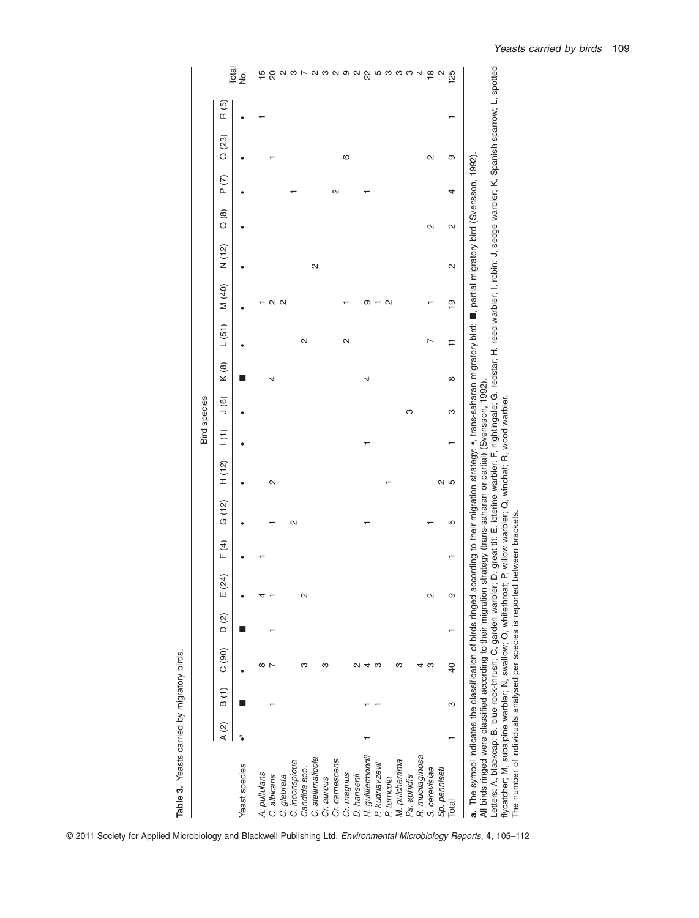|                                                                                                                                                                                                          |                          |      |                 |       |           |      |                                                      |        | <b>Bird</b> species |                |          |       |                   |       |               |      |        |       |                           |
|----------------------------------------------------------------------------------------------------------------------------------------------------------------------------------------------------------|--------------------------|------|-----------------|-------|-----------|------|------------------------------------------------------|--------|---------------------|----------------|----------|-------|-------------------|-------|---------------|------|--------|-------|---------------------------|
|                                                                                                                                                                                                          | $\mathsf{A}(\mathsf{2})$ | B(1) | C(90)           | D (2) | (24)<br>ш | F(4) | G (12)                                               | H(12)  | $\vert$ (1)         | $\overline{0}$ | K(8)     | L(51) | M (40)            | N(12) | $\frac{8}{2}$ | P(7) | Q (23) | R (5) |                           |
| Yeast species                                                                                                                                                                                            | ٩Ï                       |      |                 |       |           |      |                                                      |        |                     |                |          |       |                   |       |               |      |        |       | Total<br>,<br>2           |
|                                                                                                                                                                                                          |                          |      | ∞               |       |           |      |                                                      |        |                     |                |          |       |                   |       |               |      |        |       |                           |
| A. pullulans<br>C. albicans                                                                                                                                                                              |                          |      |                 |       |           |      |                                                      | N      |                     |                |          |       |                   |       |               |      |        |       | $\frac{5}{20}$            |
| C. glabrata                                                                                                                                                                                              |                          |      |                 |       |           |      |                                                      |        |                     |                |          |       | 2<br>2            |       |               |      |        |       |                           |
| C. inconspicua                                                                                                                                                                                           |                          |      |                 |       |           |      | N                                                    |        |                     |                |          |       |                   |       |               |      |        |       | လ က                       |
| Candida spp.                                                                                                                                                                                             |                          |      | ო               |       | N         |      |                                                      |        |                     |                |          | N     |                   |       |               |      |        |       |                           |
| C. stellimalicola                                                                                                                                                                                        |                          |      |                 |       |           |      |                                                      |        |                     |                |          |       |                   | 2     |               |      |        |       | a w w w w w w w w d w     |
| Cr. aureus                                                                                                                                                                                               |                          |      |                 |       |           |      |                                                      |        |                     |                |          |       |                   |       |               |      |        |       |                           |
| Cr. carnescens                                                                                                                                                                                           |                          |      |                 |       |           |      |                                                      |        |                     |                |          |       |                   |       |               | N    |        |       |                           |
| Cr. magnus                                                                                                                                                                                               |                          |      |                 |       |           |      |                                                      |        |                     |                |          | 2     |                   |       |               |      | ဖ      |       |                           |
| D. hansenii                                                                                                                                                                                              |                          |      |                 |       |           |      |                                                      |        |                     |                |          |       |                   |       |               |      |        |       |                           |
| H. guilliemondi                                                                                                                                                                                          |                          |      |                 |       |           |      |                                                      |        |                     |                |          |       | თ                 |       |               |      |        |       |                           |
| P. kudriavzevii                                                                                                                                                                                          |                          |      |                 |       |           |      |                                                      |        |                     |                |          |       |                   |       |               |      |        |       |                           |
| P. terricola                                                                                                                                                                                             |                          |      |                 |       |           |      |                                                      |        |                     |                |          |       | $\mathbf{\Omega}$ |       |               |      |        |       |                           |
| M. pulcherrima                                                                                                                                                                                           |                          |      |                 |       |           |      |                                                      |        |                     |                |          |       |                   |       |               |      |        |       |                           |
| Ps. aphidis                                                                                                                                                                                              |                          |      |                 |       |           |      |                                                      |        |                     | S              |          |       |                   |       |               |      |        |       |                           |
| R. mucilaginosa                                                                                                                                                                                          |                          |      |                 |       |           |      |                                                      |        |                     |                |          |       |                   |       |               |      |        |       |                           |
| S. cerevisiae                                                                                                                                                                                            |                          |      | ო               |       | 2         |      |                                                      |        |                     |                |          |       |                   |       | N             |      | N      |       | $\frac{\infty}{2}$ $\sim$ |
| Sp. penniseti                                                                                                                                                                                            |                          |      |                 |       |           |      |                                                      | 2<br>2 |                     |                |          |       |                   |       |               |      |        |       |                           |
| Total                                                                                                                                                                                                    |                          | S    | $\overline{40}$ |       | ග         |      | 5                                                    |        |                     | ო              | $\infty$ | 는     | $\frac{1}{2}$     | N     | N             | 4    | တ      |       | <b>25</b>                 |
| a. The symbol indicates the classification of birds ringed according to their migration strategy: •, trans-saharan migratory bird; ■, partial migratory bird (Svernsson, 1992)                           |                          |      |                 |       |           |      |                                                      |        |                     |                |          |       |                   |       |               |      |        |       |                           |
| All birds ringed were classified according to their migration                                                                                                                                            |                          |      |                 |       |           |      | strategy (trans-saharan or partial) (Svensson, 1992) |        |                     |                |          |       |                   |       |               |      |        |       |                           |
| Letters: A, blackcap; B, blue rock-thrush; C, garden warbler; D, great tit; E, icterine warbler; F, nightingale; G, redstar; H, reed warbler; I, robin; J, sedge warbler; K, Spanish sparrow; L, spotted |                          |      |                 |       |           |      |                                                      |        |                     |                |          |       |                   |       |               |      |        |       |                           |
| flycatcher; M, subalpine warbler; N, swallow; O, whitethroat; P, willow warbler; Q, winchat; R, wood warbler.<br>The number of individuals analysed per species is reported between brackets.            |                          |      |                 |       |           |      |                                                      |        |                     |                |          |       |                   |       |               |      |        |       |                           |
|                                                                                                                                                                                                          |                          |      |                 |       |           |      |                                                      |        |                     |                |          |       |                   |       |               |      |        |       |                           |

Table 3. Yeasts carried by migratory birds. **Table 3.** Yeasts carried by migratory birds.

© 2011 Society for Applied Microbiology and Blackwell Publishing Ltd, *Environmental Microbiology Reports*, **4**, 105–112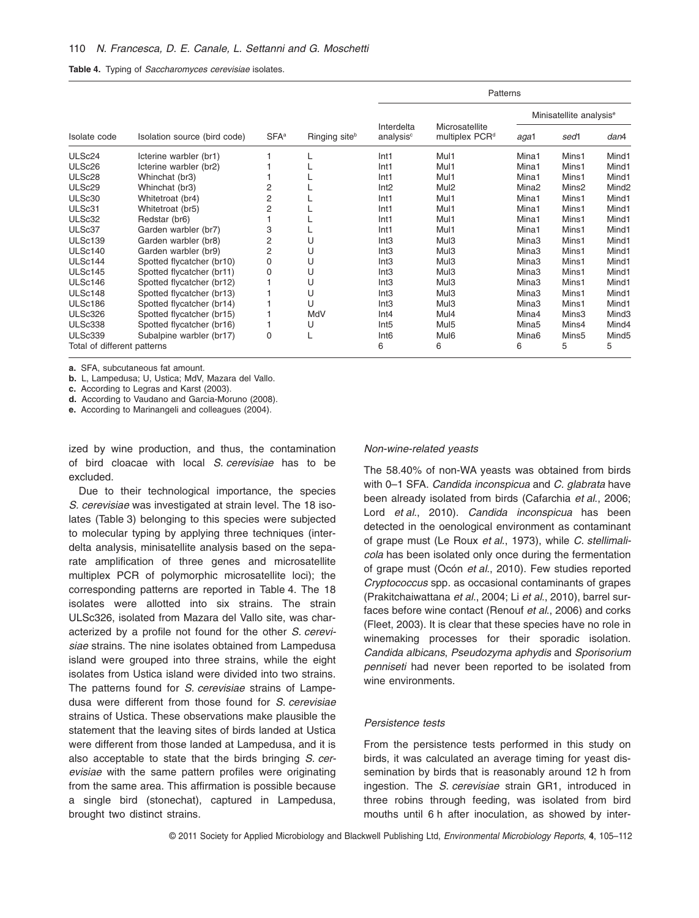|  |  | Table 4. Typing of Saccharomyces cerevisiae isolates. |  |  |
|--|--|-------------------------------------------------------|--|--|
|--|--|-------------------------------------------------------|--|--|

|                             |                              |         |               |                                     | Patterns                                     |                   |                                     |                   |
|-----------------------------|------------------------------|---------|---------------|-------------------------------------|----------------------------------------------|-------------------|-------------------------------------|-------------------|
|                             |                              |         |               |                                     |                                              |                   | Minisatellite analysis <sup>e</sup> |                   |
| Isolate code                | Isolation source (bird code) | $SFA^a$ | Ringing siteb | Interdelta<br>analysis <sup>c</sup> | Microsatellite<br>multiplex PCR <sup>d</sup> | aga1              | sed1                                | dan4              |
| ULSc24                      | Icterine warbler (br1)       |         |               | Int <sub>1</sub>                    | Mul1                                         | Mina1             | Mins1                               | Mind1             |
| ULSc26                      | Icterine warbler (br2)       |         |               | Int <sub>1</sub>                    | Mul1                                         | Mina1             | Mins1                               | Mind1             |
| ULSc28                      | Whinchat (br3)               |         |               | Int <sub>1</sub>                    | Mul1                                         | Mina1             | Mins1                               | Mind1             |
| ULSc29                      | Whinchat (br3)               | 2       |               | Int2                                | Mul <sub>2</sub>                             | Mina <sub>2</sub> | Mins <sub>2</sub>                   | Mind <sub>2</sub> |
| ULSc30                      | Whitetroat (br4)             | 2       |               | Int <sub>1</sub>                    | Mul1                                         | Mina1             | Mins1                               | Mind1             |
| ULSc31                      | Whitetroat (br5)             | 2       |               | Int <sub>1</sub>                    | Mul1                                         | Mina1             | Mins1                               | Mind1             |
| ULSc32                      | Redstar (br6)                |         |               | Int <sub>1</sub>                    | Mul1                                         | Mina1             | Mins1                               | Mind1             |
| ULSc37                      | Garden warbler (br7)         | 3       |               | Int <sub>1</sub>                    | Mul1                                         | Mina1             | Mins1                               | Mind1             |
| ULSc139                     | Garden warbler (br8)         | 2       | U             | Int3                                | Mul <sub>3</sub>                             | Mina <sub>3</sub> | Mins1                               | Mind1             |
| ULSc140                     | Garden warbler (br9)         | 2       | U             | Int <sub>3</sub>                    | Mul3                                         | Mina3             | Mins1                               | Mind1             |
| ULSc144                     | Spotted flycatcher (br10)    | 0       | U             | Int3                                | Mul3                                         | Mina3             | Mins1                               | Mind1             |
| ULSc145                     | Spotted flycatcher (br11)    | 0       | U             | Int <sub>3</sub>                    | Mul3                                         | Mina <sub>3</sub> | Mins1                               | Mind1             |
| ULSc146                     | Spotted flycatcher (br12)    |         | U             | Int3                                | Mul <sub>3</sub>                             | Mina3             | Mins1                               | Mind1             |
| ULSc148                     | Spotted flycatcher (br13)    |         | U             | Int <sub>3</sub>                    | Mul3                                         | Mina <sub>3</sub> | Mins1                               | Mind1             |
| ULSc186                     | Spotted flycatcher (br14)    |         | U             | Int3                                | Mul <sub>3</sub>                             | Mina3             | Mins1                               | Mind1             |
| ULSc326                     | Spotted flycatcher (br15)    |         | MdV           | Int <sub>4</sub>                    | Mul4                                         | Mina4             | Mins3                               | Mind <sub>3</sub> |
| ULSc338                     | Spotted flycatcher (br16)    |         | U             | Int <sub>5</sub>                    | Mul <sub>5</sub>                             | Mina <sub>5</sub> | Mins4                               | Mind4             |
| ULSc339                     | Subalpine warbler (br17)     | 0       |               | Int <sub>6</sub>                    | Mul <sub>6</sub>                             | Mina <sub>6</sub> | Mins5                               | Mind <sub>5</sub> |
| Total of different patterns |                              |         |               | 6                                   | 6                                            | 6                 | 5                                   | 5                 |

**a.** SFA, subcutaneous fat amount.

**b.** L, Lampedusa; U, Ustica; MdV, Mazara del Vallo.

**c.** According to Legras and Karst (2003).

**d.** According to Vaudano and Garcia-Moruno (2008).

**e.** According to Marinangeli and colleagues (2004).

ized by wine production, and thus, the contamination of bird cloacae with local *S. cerevisiae* has to be excluded.

Due to their technological importance, the species *S. cerevisiae* was investigated at strain level. The 18 isolates (Table 3) belonging to this species were subjected to molecular typing by applying three techniques (interdelta analysis, minisatellite analysis based on the separate amplification of three genes and microsatellite multiplex PCR of polymorphic microsatellite loci); the corresponding patterns are reported in Table 4. The 18 isolates were allotted into six strains. The strain ULSc326, isolated from Mazara del Vallo site, was characterized by a profile not found for the other *S. cerevisiae* strains. The nine isolates obtained from Lampedusa island were grouped into three strains, while the eight isolates from Ustica island were divided into two strains. The patterns found for *S. cerevisiae* strains of Lampedusa were different from those found for *S. cerevisiae* strains of Ustica. These observations make plausible the statement that the leaving sites of birds landed at Ustica were different from those landed at Lampedusa, and it is also acceptable to state that the birds bringing *S. cerevisiae* with the same pattern profiles were originating from the same area. This affirmation is possible because a single bird (stonechat), captured in Lampedusa, brought two distinct strains.

#### *Non-wine-related yeasts*

The 58.40% of non-WA yeasts was obtained from birds with 0–1 SFA. *Candida inconspicua* and *C. glabrata* have been already isolated from birds (Cafarchia *et al*., 2006; Lord *et al*., 2010). *Candida inconspicua* has been detected in the oenological environment as contaminant of grape must (Le Roux *et al*., 1973), while *C. stellimalicola* has been isolated only once during the fermentation of grape must (Ocón *et al*., 2010). Few studies reported *Cryptococcus* spp. as occasional contaminants of grapes (Prakitchaiwattana *et al*., 2004; Li *et al*., 2010), barrel surfaces before wine contact (Renouf *et al*., 2006) and corks (Fleet, 2003). It is clear that these species have no role in winemaking processes for their sporadic isolation. *Candida albicans*, *Pseudozyma aphydis* and *Sporisorium penniseti* had never been reported to be isolated from wine environments.

#### *Persistence tests*

From the persistence tests performed in this study on birds, it was calculated an average timing for yeast dissemination by birds that is reasonably around 12 h from ingestion. The *S. cerevisiae* strain GR1, introduced in three robins through feeding, was isolated from bird mouths until 6 h after inoculation, as showed by inter-

© 2011 Society for Applied Microbiology and Blackwell Publishing Ltd, *Environmental Microbiology Reports*, **4**, 105–112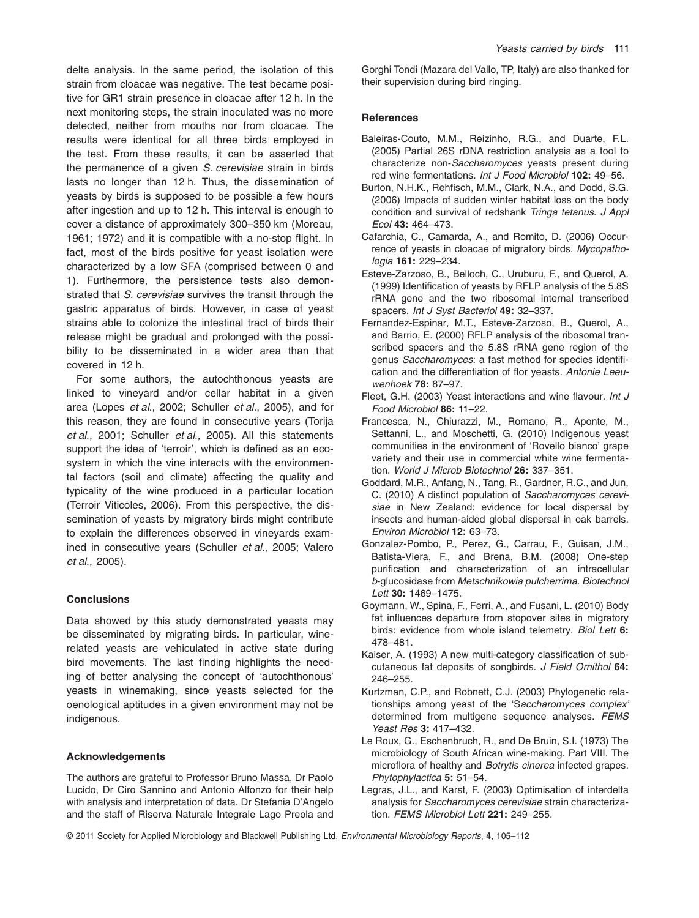delta analysis. In the same period, the isolation of this strain from cloacae was negative. The test became positive for GR1 strain presence in cloacae after 12 h. In the next monitoring steps, the strain inoculated was no more detected, neither from mouths nor from cloacae. The results were identical for all three birds employed in the test. From these results, it can be asserted that the permanence of a given *S. cerevisiae* strain in birds lasts no longer than 12 h. Thus, the dissemination of yeasts by birds is supposed to be possible a few hours after ingestion and up to 12 h. This interval is enough to cover a distance of approximately 300–350 km (Moreau, 1961; 1972) and it is compatible with a no-stop flight. In fact, most of the birds positive for yeast isolation were characterized by a low SFA (comprised between 0 and 1). Furthermore, the persistence tests also demonstrated that *S. cerevisiae* survives the transit through the gastric apparatus of birds. However, in case of yeast strains able to colonize the intestinal tract of birds their release might be gradual and prolonged with the possibility to be disseminated in a wider area than that covered in 12 h.

For some authors, the autochthonous yeasts are linked to vineyard and/or cellar habitat in a given area (Lopes *et al*., 2002; Schuller *et al*., 2005), and for this reason, they are found in consecutive years (Torija *et al*., 2001; Schuller *et al*., 2005). All this statements support the idea of 'terroir', which is defined as an ecosystem in which the vine interacts with the environmental factors (soil and climate) affecting the quality and typicality of the wine produced in a particular location (Terroir Viticoles, 2006). From this perspective, the dissemination of yeasts by migratory birds might contribute to explain the differences observed in vineyards examined in consecutive years (Schuller *et al*., 2005; Valero *et al*., 2005).

# **Conclusions**

Data showed by this study demonstrated yeasts may be disseminated by migrating birds. In particular, winerelated yeasts are vehiculated in active state during bird movements. The last finding highlights the needing of better analysing the concept of 'autochthonous' yeasts in winemaking, since yeasts selected for the oenological aptitudes in a given environment may not be indigenous.

#### **Acknowledgements**

The authors are grateful to Professor Bruno Massa, Dr Paolo Lucido, Dr Ciro Sannino and Antonio Alfonzo for their help with analysis and interpretation of data. Dr Stefania D'Angelo and the staff of Riserva Naturale Integrale Lago Preola and Gorghi Tondi (Mazara del Vallo, TP, Italy) are also thanked for their supervision during bird ringing.

#### **References**

- Baleiras-Couto, M.M., Reizinho, R.G., and Duarte, F.L. (2005) Partial 26S rDNA restriction analysis as a tool to characterize non-*Saccharomyces* yeasts present during red wine fermentations. *Int J Food Microbiol* **102:** 49–56.
- Burton, N.H.K., Rehfisch, M.M., Clark, N.A., and Dodd, S.G. (2006) Impacts of sudden winter habitat loss on the body condition and survival of redshank *Tringa tetanus*. *J Appl Ecol* **43:** 464–473.
- Cafarchia, C., Camarda, A., and Romito, D. (2006) Occurrence of yeasts in cloacae of migratory birds. *Mycopathologia* **161:** 229–234.
- Esteve-Zarzoso, B., Belloch, C., Uruburu, F., and Querol, A. (1999) Identification of yeasts by RFLP analysis of the 5.8S rRNA gene and the two ribosomal internal transcribed spacers. *Int J Syst Bacteriol* **49:** 32–337.
- Fernandez-Espinar, M.T., Esteve-Zarzoso, B., Querol, A., and Barrio, E. (2000) RFLP analysis of the ribosomal transcribed spacers and the 5.8S rRNA gene region of the genus *Saccharomyces*: a fast method for species identification and the differentiation of flor yeasts. *Antonie Leeuwenhoek* **78:** 87–97.
- Fleet, G.H. (2003) Yeast interactions and wine flavour. *Int J Food Microbiol* **86:** 11–22.
- Francesca, N., Chiurazzi, M., Romano, R., Aponte, M., Settanni, L., and Moschetti, G. (2010) Indigenous yeast communities in the environment of 'Rovello bianco' grape variety and their use in commercial white wine fermentation. *World J Microb Biotechnol* **26:** 337–351.
- Goddard, M.R., Anfang, N., Tang, R., Gardner, R.C., and Jun, C. (2010) A distinct population of *Saccharomyces cerevisiae* in New Zealand: evidence for local dispersal by insects and human-aided global dispersal in oak barrels. *Environ Microbiol* **12:** 63–73.
- Gonzalez-Pombo, P., Perez, G., Carrau, F., Guisan, J.M., Batista-Viera, F., and Brena, B.M. (2008) One-step purification and characterization of an intracellular *b*-glucosidase from *Metschnikowia pulcherrima*. *Biotechnol Lett* **30:** 1469–1475.
- Goymann, W., Spina, F., Ferri, A., and Fusani, L. (2010) Body fat influences departure from stopover sites in migratory birds: evidence from whole island telemetry. *Biol Lett* **6:** 478–481.
- Kaiser, A. (1993) A new multi-category classification of subcutaneous fat deposits of songbirds. *J Field Ornithol* **64:** 246–255.
- Kurtzman, C.P., and Robnett, C.J. (2003) Phylogenetic relationships among yeast of the 'S*accharomyces complex'* determined from multigene sequence analyses. *FEMS Yeast Res* **3:** 417–432.
- Le Roux, G., Eschenbruch, R., and De Bruin, S.I. (1973) The microbiology of South African wine-making. Part VIII. The microflora of healthy and *Botrytis cinerea* infected grapes. *Phytophylactica* **5:** 51–54.
- Legras, J.L., and Karst, F. (2003) Optimisation of interdelta analysis for *Saccharomyces cerevisiae* strain characterization. *FEMS Microbiol Lett* **221:** 249–255.

© 2011 Society for Applied Microbiology and Blackwell Publishing Ltd, *Environmental Microbiology Reports*, **4**, 105–112